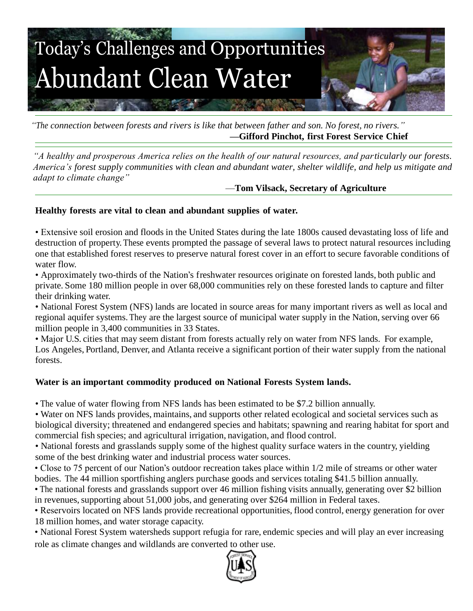

*"The connection between forests and rivers is like that between father and son. No forest, no rivers."* **—Gifford Pinchot, first Forest Service Chief**

*"A healthy and prosperous America relies on the health of our natural resources, and particularly our forests. America's forest supply communities with clean and abundant water, shelter wildlife, and help us mitigate and adapt to climate change"*

# —**Tom Vilsack, Secretary of Agriculture**

### **Healthy forests are vital to clean and abundant supplies of water.**

• Extensive soil erosion and floods in the United States during the late 1800s caused devastating loss of life and destruction of property.These events prompted the passage of several laws to protect natural resources including one that established forest reserves to preserve natural forest cover in an effort to secure favorable conditions of water flow.

• Approximately two-thirds of the Nation's freshwater resources originate on forested lands, both public and private. Some 180 million people in over 68,000 communities rely on these forested lands to capture and filter their drinking water.

• National Forest System (NFS) lands are located in source areas for many important rivers as well as local and regional aquifer systems. They are the largest source of municipal water supply in the Nation, serving over 66 million people in 3,400 communities in 33 States.

• Major U.S. cities that may seem distant from forests actually rely on water from NFS lands. For example, Los Angeles, Portland, Denver, and Atlanta receive a significant portion of their water supply from the national forests.

### **Water is an important commodity produced on National Forests System lands.**

• The value of water flowing from NFS lands has been estimated to be \$7.2 billion annually.

• Water on NFS lands provides, maintains, and supports other related ecological and societal services such as biological diversity; threatened and endangered species and habitats; spawning and rearing habitat for sport and commercial fish species; and agricultural irrigation, navigation, and flood control.

• National forests and grasslands supply some of the highest quality surface waters in the country, yielding some of the best drinking water and industrial process water sources.

• Close to 75 percent of our Nation's outdoor recreation takes place within 1/2 mile of streams or other water bodies. The 44 million sportfishing anglers purchase goods and services totaling \$41.5 billion annually.

• The national forests and grasslands support over 46 million fishing visits annually, generating over \$2 billion in revenues, supporting about 51,000 jobs, and generating over \$264 million in Federal taxes.

• Reservoirs located on NFS lands provide recreational opportunities, flood control, energy generation for over 18 million homes, and water storage capacity.

• National Forest System watersheds support refugia for rare, endemic species and will play an ever increasing role as climate changes and wildlands are converted to other use.